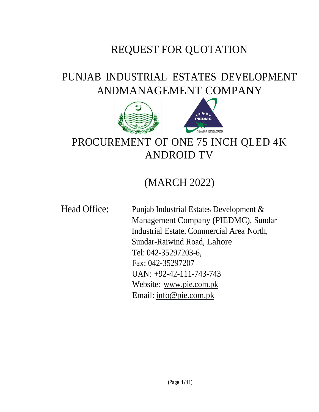# REQUEST FOR QUOTATION

# PUNJAB INDUSTRIAL ESTATES DEVELOPMENT ANDMANAGEMENT COMPANY



# PROCUREMENT OF ONE 75 INCH QLED 4K ANDROID TV

# (MARCH 2022)

Head Office: Punjab Industrial Estates Development & Management Company (PIEDMC), Sundar Industrial Estate, Commercial Area North, Sundar-Raiwind Road, Lahore Tel: 042-35297203-6, Fax: 042-35297207 UAN: +92-42-111-743-743 Website: [www.pie.com.pk](http://www.pie.com.pk/) Email: [info@pie.com.pk](mailto:info@pie.com.pk)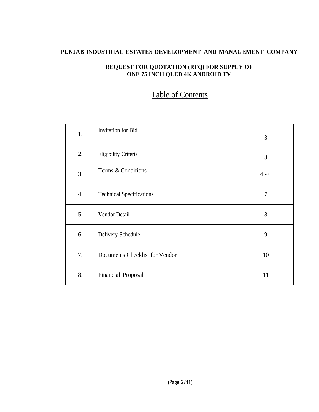### **PUNJAB INDUSTRIAL ESTATES DEVELOPMENT AND MANAGEMENT COMPANY**

#### **REQUEST FOR QUOTATION (RFQ) FOR SUPPLY OF ONE 75 INCH QLED 4K ANDROID TV**

## Table of Contents

| 1. | <b>Invitation</b> for Bid       | 3       |
|----|---------------------------------|---------|
| 2. | Eligibility Criteria            | 3       |
| 3. | Terms & Conditions              | $4 - 6$ |
| 4. | <b>Technical Specifications</b> | 7       |
| 5. | Vendor Detail                   | 8       |
| 6. | Delivery Schedule               | 9       |
| 7. | Documents Checklist for Vendor  | 10      |
| 8. | Financial Proposal              | 11      |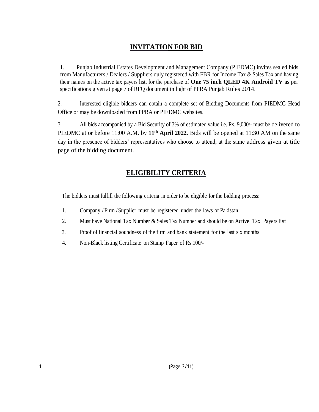## **INVITATION FOR BID**

1. Punjab Industrial Estates Development and Management Company (PIEDMC) invites sealed bids from Manufacturers / Dealers / Suppliers duly registered with FBR for Income Tax & Sales Tax and having their names on the active tax payers list, for the purchase of **One 75 inch QLED 4K Android TV** as per specifications given at page 7 of RFQ document in light of PPRA Punjab Rules 2014.

2. Interested eligible bidders can obtain a complete set of Bidding Documents from PIEDMC Head Office or may be downloaded from PPRA or PIEDMC websites.

3. All bids accompanied by a Bid Security of 3% of estimated value i.e. Rs. 9,000/- must be delivered to PIEDMC at or before 11:00 A.M. by **11th April 2022**. Bids will be opened at 11:30 AM on the same day in the presence of bidders' representatives who choose to attend, at the same address given at title page of the bidding document.

## **ELIGIBILITY CRITERIA**

The bidders must fulfill the following criteria in order to be eligible for the bidding process:

- 1. Company / Firm /Supplier must be registered under the laws of Pakistan
- 2. Must have National Tax Number & Sales Tax Number and should be on Active Tax Payers list
- 3. Proof of financial soundness of the firm and bank statement for the last six months
- 4. Non-Black listing Certificate on Stamp Paper of Rs.100/-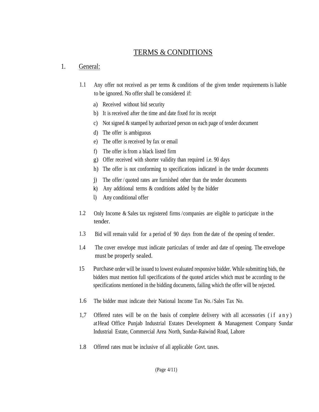## TERMS & CONDITIONS

## 1. General:

- 1.1 Any offer not received as per terms & conditions of the given tender requirements is liable to be ignored. No offer shall be considered if:
	- a) Received without bid security
	- b) It is received after the time and date fixed for its receipt
	- c) Not signed & stamped by authorized person on each page of tender document
	- d) The offer is ambiguous
	- e) The offer is received by fax or email
	- f) The offer is from a black listed firm
	- g) Offer received with shorter validity than required i.e. 90 days
	- h) The offer is not conforming to specifications indicated in the tender documents
	- j) The offer / quoted rates are furnished other than the tender documents
	- k) Any additional terms & conditions added by the bidder
	- l) Any conditional offer
- 1.2 Only Income & Sales tax registered firms /companies are eligible to participate in the tender.
- 1.3 Bid will remain valid for a period of 90 days from the date of the opening of tender.
- 1.4 The cover envelope must indicate particulars of tender and date of opening. The envelope must be properly sealed.
- 15 Purchase order will be issued to lowest evaluated responsive bidder. While submitting bids, the bidders must mention full specifications of the quoted articles which must be according to the specifications mentioned in the bidding documents, failing which the offer will be rejected.
- 1.6 The bidder must indicate their National Income Tax No./Sales Tax No.
- 1,7 Offered rates will be on the basis of complete delivery with all accessories  $(i f a n y)$ atHead Office Punjab Industrial Estates Development & Management Company Sundar Industrial Estate, Commercial Area North, Sundar-Raiwind Road, Lahore
- 1.8 Offered rates must be inclusive of all applicable Govt. taxes.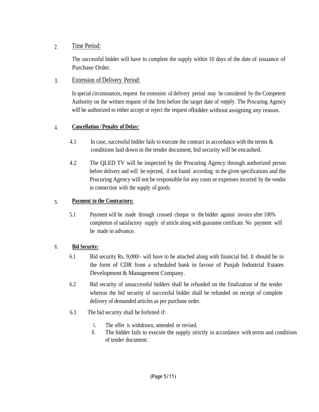#### Time Period:  $\overline{2}$ .

The successful bidder will have to complete the supply within 10 days of the date of issuance of Purchase Order.

#### Extension of Delivery Period:  $3.$

In special circumstances, request for extension of delivery period may be considered by the Competent Authority on the written request of the firm before the target date of supply. The Procuring Agency will be authorized to either accept or reject the request of bidder without assigning any reason.

#### **Cancellation /Penalty of Delay:** 4.

- 4.1 In case, successful bidder fails to execute the contract in accordance with the terms & conditions laid down in the tender document, bid security will be encashed.
- 4.2 The QLED TV will be inspected by the Procuring Agency through authorized person before delivery and will be rejected, if not found according to the given specifications and the Procuring Agency will not be responsible for any costs or expenses incurred by the vendor in connection with the supply of goods.

#### **Payment to the Contractors:** 5.

5.1 Payment will be made through crossed cheque to the bidder against invoice after 100% completion of satisfactory supply of article along with guarantee certificate. No payment will be made in advance.

### 6. **Bid Security:**

- 6.1 Bid security Rs. 9,000/- will have to be attached along with financial bid. It should be in the form of CDR from a scheduled bank in favour of Punjab Industrial Estates Development & Management Company.
- 6.2 Bid security of unsuccessful bidders shall be refunded on the finalization of the tender whereas the bid security of successful bidder shall be refunded on receipt of complete delivery of demanded articles as per purchase order.
- 6.3 The bid security shall be forfeited if:
	- i. The offer is withdrawn, amended or revised.
	- ii. The bidder fails to execute the supply strictly in accordance with terms and conditions of tender document.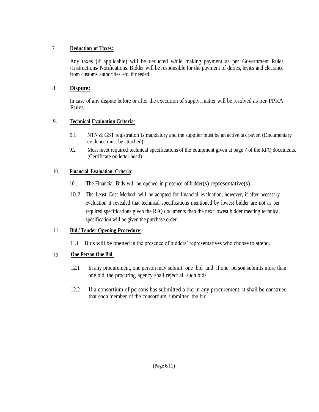#### 7. **Deduction of Taxes:**

Any taxes (if applicable) will be deducted while making payment as per Government Rules /1nstructions/ Notifications. Bidder will be responsible for the payment of duties, levies and clearance from customs authorities etc. if needed.

### 8. **Dispute:**

In case of any dispute before or after the execution of supply, matter will be resolved as per PPRA Rules.

### 9. **Technical Evaluation Criteria**:

- 9.1 NTN & GST registration is mandatory and the supplier must be an active tax payer. (Documentary evidence must be attached)
- 9.2 Must meet required technical specifications of the equipment given at page 7 of the RFQ documents. (Certificate on letter head)

### 10. **Financial Evaluation Criteria**:

- 10.1 The Financial Bids will be opened in presence of bidder(s) representative(s).
- 10.2 The Least Cost Method will be adopted for financial evaluation, however, if after necessary evaluation it revealed that technical specifications mentioned by lowest bidder are not as per required specifications given the RFQ documents then the next lowest bidder meeting technical specification will be given the purchase order.

### 11. **Bid / Tender Opening Procedure**:

11.1 Bids will be opened in the presence of bidders' representatives who choose to attend.

#### **One Person One Bid**: 12.

- 12.1 In any procurement, one person may submit one bid and if one person submits more than one bid, the procuring agency shall reject all such bids
- 12.2 If a consortium of persons has submitted a bid in any procurement, it shall be construed that each member of the consortium submitted the bid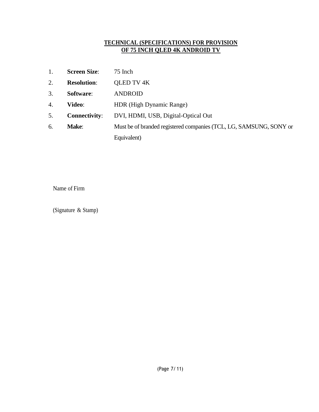#### **TECHNICAL (SPECIFICATIONS) FOR PROVISION OF 75 INCH QLED 4K ANDROID TV**

| 1. | <b>Screen Size:</b>  | 75 Inch                                                            |
|----|----------------------|--------------------------------------------------------------------|
| 2. | <b>Resolution:</b>   | <b>QLED TV 4K</b>                                                  |
| 3. | Software:            | <b>ANDROID</b>                                                     |
| 4. | <b>Video:</b>        | HDR (High Dynamic Range)                                           |
| 5. | <b>Connectivity:</b> | DVI, HDMI, USB, Digital-Optical Out                                |
| 6. | Make:                | Must be of branded registered companies (TCL, LG, SAMSUNG, SONY or |
|    |                      | Equivalent)                                                        |

Name of Firm

(Signature & Stamp)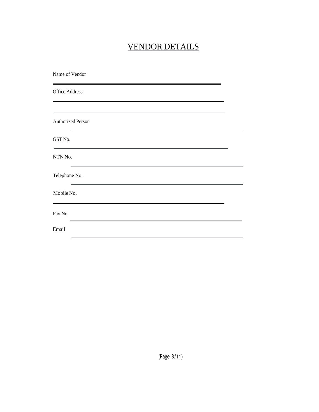# VENDOR DETAILS

| Name of Vendor                                                                                       |  |
|------------------------------------------------------------------------------------------------------|--|
| <b>Office Address</b>                                                                                |  |
|                                                                                                      |  |
| <b>Authorized Person</b>                                                                             |  |
| GST No.                                                                                              |  |
| NTN No.<br>the control of the control of the control of the control of the control of the control of |  |
| Telephone No.                                                                                        |  |
| Mobile No.                                                                                           |  |
| Fax No.                                                                                              |  |
| Email                                                                                                |  |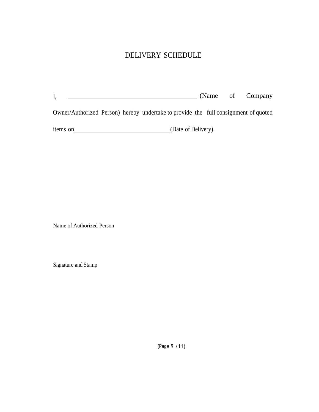# DELIVERY SCHEDULE

|                                                                                     |                     |  | (Name of Company |
|-------------------------------------------------------------------------------------|---------------------|--|------------------|
| Owner/Authorized Person) hereby undertake to provide the full consignment of quoted |                     |  |                  |
| items on                                                                            | (Date of Delivery). |  |                  |

Name of Authorized Person

Signature and Stamp

(Page 9 /11)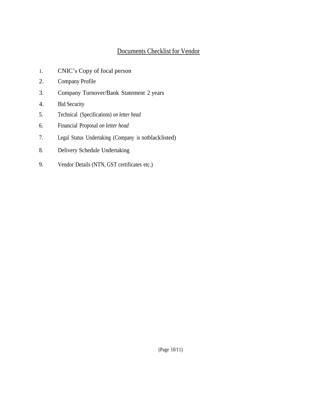### Documents Checklist for Vendor

- 1. CNIC's Copy of focal person
- 2. Company Profile
- 3. Company Turnover/Bank Statement 2 years
- 4. Bid Security
- 5. Technical (Specifications) *on letter head*
- 6. Financial Proposal *on letter head*
- 7. Legal Status Undertaking (Company is notblacklisted)
- 8. Delivery Schedule Undertaking
- 9. Vendor Details (NTN, GST certificates etc.)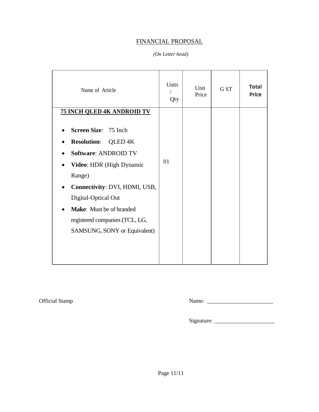### FINANCIAL PROPOSAL

#### *(On Letter head)*

| Name of Article                                                                                                                                                                                                                                                                                     | Units<br>Qty | Unit<br>Price | G ST | Total<br>Price |
|-----------------------------------------------------------------------------------------------------------------------------------------------------------------------------------------------------------------------------------------------------------------------------------------------------|--------------|---------------|------|----------------|
| <b>75 INCH QLED 4K ANDROID TV</b>                                                                                                                                                                                                                                                                   |              |               |      |                |
| Screen Size: 75 Inch<br><b>Resolution:</b><br>QLED <sub>4</sub> K<br><b>Software: ANDROID TV</b><br>Video: HDR (High Dynamic<br>Range)<br>Connectivity: DVI, HDMI, USB,<br>Digital-Optical Out<br><b>Make:</b> Must be of branded<br>registered companies (TCL, LG,<br>SAMSUNG, SONY or Equivalent) | 01           |               |      |                |

Official Stamp Name: \_\_\_\_\_\_\_\_\_\_\_\_\_\_\_\_\_\_\_\_\_\_\_

Signature: \_\_\_\_\_\_\_\_\_\_\_\_\_\_\_\_\_\_\_\_\_